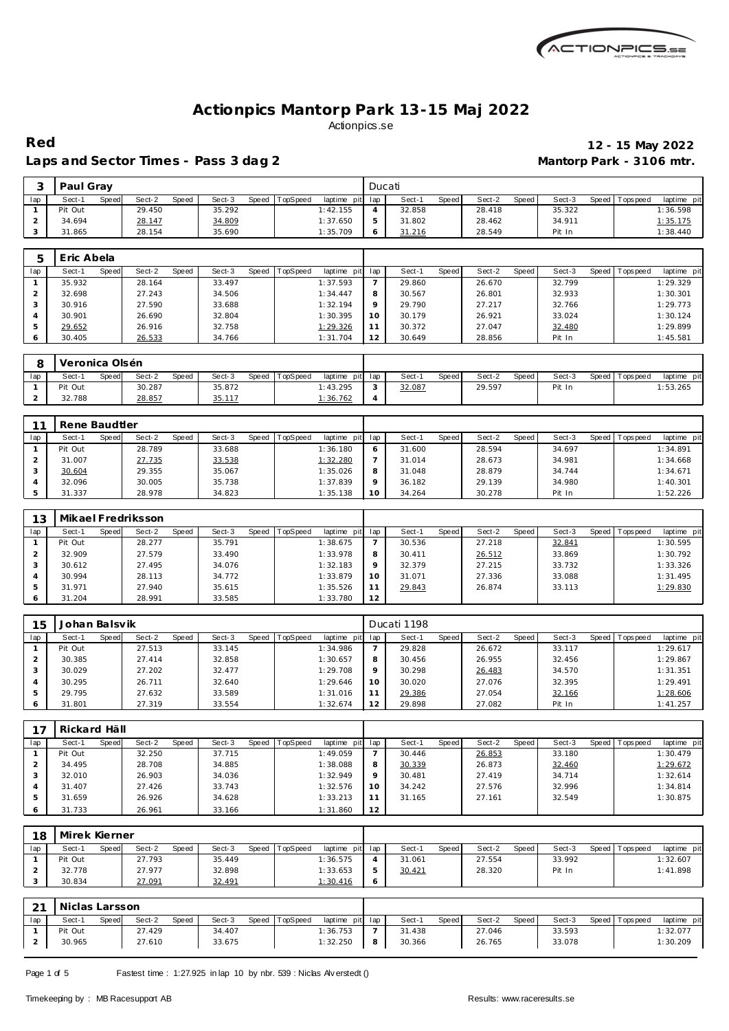

### Laps and Sector Times - Pass 3 dag 2 **Mantorp Park - 3106 mtr.**

# **Red 12 - 15 May 2022**

|     | Paul Gray |       |        |       |        |       |          |             | Ducati |        |       |        |       |        |       |          |                 |
|-----|-----------|-------|--------|-------|--------|-------|----------|-------------|--------|--------|-------|--------|-------|--------|-------|----------|-----------------|
| lap | Sect-1    | Speed | Sect-2 | Speed | Sect-3 | Speed | TopSpeed | laptime pit | lap    | Sect-1 | Speed | Sect-2 | Speed | Sect-3 | Speed | Topspeed | laptime pit     |
|     | Pit Out   |       | 29.450 |       | 35.292 |       |          | 1:42.155    |        | 32.858 |       | 28.418 |       | 35.322 |       |          | 1:36.598        |
|     | 34.694    |       | 28.147 |       | 34.809 |       |          | 1:37.650    |        | 31.802 |       | 28.462 |       | 34.911 |       |          | <u>1:35.175</u> |
|     | 31.865    |       | 28.154 |       | 35.690 |       |          | 1:35.709    |        | 31.216 |       | 28.549 |       | Pit In |       |          | 1:38.440        |

|     | Eric Abela |       |        |       |        |       |          |                 |         |        |       |        |       |        |                 |             |
|-----|------------|-------|--------|-------|--------|-------|----------|-----------------|---------|--------|-------|--------|-------|--------|-----------------|-------------|
| lap | Sect-1     | Speed | Sect-2 | Speed | Sect-3 | Speed | TopSpeed | laptime pit lap |         | Sect-1 | Speed | Sect-2 | Speed | Sect-3 | Speed Tops peed | laptime pit |
|     | 35.932     |       | 28.164 |       | 33.497 |       |          | 1:37.593        |         | 29.860 |       | 26.670 |       | 32.799 |                 | 1:29.329    |
|     | 32.698     |       | 27.243 |       | 34.506 |       |          | 1:34.447        | 8       | 30.567 |       | 26.801 |       | 32.933 |                 | 1:30.301    |
|     | 30.916     |       | 27.590 |       | 33.688 |       |          | 1:32.194        | $\circ$ | 29.790 |       | 27.217 |       | 32.766 |                 | 1:29.773    |
|     | 30.901     |       | 26.690 |       | 32.804 |       |          | 1:30.395        | 10      | 30.179 |       | 26.921 |       | 33.024 |                 | 1:30.124    |
|     | 29.652     |       | 26.916 |       | 32.758 |       |          | 1:29.326        |         | 30.372 |       | 27.047 |       | 32.480 |                 | 1:29.899    |
|     | 30.405     |       | 26.533 |       | 34.766 |       |          | 1:31.704        | 12      | 30.649 |       | 28.856 |       | Pit In |                 | 1:45.581    |

|     | Veronica Olsén |              |        |       |        |       |                 |                 |                   |        |              |        |       |        |                   |             |
|-----|----------------|--------------|--------|-------|--------|-------|-----------------|-----------------|-------------------|--------|--------------|--------|-------|--------|-------------------|-------------|
| lap | Sect-1         | <b>Speed</b> | Sect-2 | Speed | Sect-3 | Speed | <b>TopSpeed</b> | laptime pit lap |                   | Sect-  | <b>Speed</b> | Sect-2 | Speed | Sect-3 | Speed   Tops peed | laptime pit |
|     | Pit Out        |              | 30.287 |       | 35.872 |       |                 | 1:43.295        | $\sqrt{2}$<br>- 1 | 32.087 |              | 29.597 |       | Pit In |                   | 1:53.265    |
| -   | 32.788         |              | 28.857 |       | 35.117 |       |                 | 1:36.762        |                   |        |              |        |       |        |                   |             |

| $\sim$ | Rene Baudtler |       |        |              |        |       |          |                 |    |        |       |        |       |        |         |            |             |
|--------|---------------|-------|--------|--------------|--------|-------|----------|-----------------|----|--------|-------|--------|-------|--------|---------|------------|-------------|
| lap    | Sect-1        | Speed | Sect-2 | <b>Speed</b> | Sect-3 | Speed | TopSpeed | laptime pit lap |    | Sect-1 | Speed | Sect-2 | Speed | Sect-3 | Speed I | Tops pee d | laptime pit |
|        | Pit Out       |       | 28.789 |              | 33.688 |       |          | 1:36.180        |    | 31.600 |       | 28.594 |       | 34.697 |         |            | 1:34.891    |
|        | 31.007        |       | 27.735 |              | 33.538 |       |          | 1:32.280        |    | 31.014 |       | 28.673 |       | 34.981 |         |            | 1:34.668    |
|        | 30.604        |       | 29.355 |              | 35.067 |       |          | 1:35.026        |    | 31.048 |       | 28.879 |       | 34.744 |         |            | 1:34.671    |
|        | 32.096        |       | 30.005 |              | 35.738 |       |          | 1:37.839        |    | 36.182 |       | 29.139 |       | 34.980 |         |            | 1:40.301    |
|        | 31.337        |       | 28.978 |              | 34.823 |       |          | 1:35.138        | 10 | 34.264 |       | 30.278 |       | Pit In |         |            | 1:52.226    |

| 13  |         |       | Mikael Fredriksson |       |        |       |                 |             |     |        |       |        |       |        |                 |             |
|-----|---------|-------|--------------------|-------|--------|-------|-----------------|-------------|-----|--------|-------|--------|-------|--------|-----------------|-------------|
| lap | Sect-1  | Speed | Sect-2             | Speed | Sect-3 | Speed | <b>TopSpeed</b> | laptime pit | lap | Sect-1 | Speed | Sect-2 | Speed | Sect-3 | Speed Tops peed | laptime pit |
|     | Pit Out |       | 28.277             |       | 35.791 |       |                 | 1:38.675    |     | 30.536 |       | 27.218 |       | 32.841 |                 | 1:30.595    |
|     | 32.909  |       | 27.579             |       | 33.490 |       |                 | 1:33.978    | 8   | 30.411 |       | 26.512 |       | 33.869 |                 | 1:30.792    |
|     | 30.612  |       | 27.495             |       | 34.076 |       |                 | 1:32.183    |     | 32.379 |       | 27.215 |       | 33.732 |                 | 1:33.326    |
|     | 30.994  |       | 28.113             |       | 34.772 |       |                 | 1:33.879    | 10  | 31.071 |       | 27.336 |       | 33.088 |                 | 1:31.495    |
|     | 31.971  |       | 27.940             |       | 35.615 |       |                 | 1:35.526    |     | 29.843 |       | 26.874 |       | 33.113 |                 | 1:29.830    |
|     | 31.204  |       | 28.991             |       | 33.585 |       |                 | 1:33.780    | 12  |        |       |        |       |        |                 |             |

| 15  | Johan Balsvik |       |        |       |        |       |                 |             |         | Ducati 1198 |       |        |       |        |       |           |             |
|-----|---------------|-------|--------|-------|--------|-------|-----------------|-------------|---------|-------------|-------|--------|-------|--------|-------|-----------|-------------|
| lap | Sect-1        | Speed | Sect-2 | Speed | Sect-3 | Speed | <b>TopSpeed</b> | laptime pit | lap     | Sect-1      | Speed | Sect-2 | Speed | Sect-3 | Speed | Tops peed | laptime pit |
|     | Pit Out       |       | 27.513 |       | 33.145 |       |                 | 1:34.986    |         | 29.828      |       | 26.672 |       | 33.117 |       |           | 1:29.617    |
|     | 30.385        |       | 27.414 |       | 32.858 |       |                 | 1:30.657    | 8       | 30.456      |       | 26.955 |       | 32.456 |       |           | 1:29.867    |
|     | 30.029        |       | 27.202 |       | 32.477 |       |                 | 1:29.708    | $\circ$ | 30.298      |       | 26.483 |       | 34.570 |       |           | 1:31.351    |
|     | 30.295        |       | 26.711 |       | 32.640 |       |                 | 1:29.646    | 10      | 30.020      |       | 27.076 |       | 32.395 |       |           | 1:29.491    |
|     | 29.795        |       | 27.632 |       | 33.589 |       |                 | 1:31.016    | 11      | 29.386      |       | 27.054 |       | 32.166 |       |           | 1:28.606    |
|     | 31.801        |       | 27.319 |       | 33.554 |       |                 | 1:32.674    | 12      | 29.898      |       | 27.082 |       | Pit In |       |           | 1:41.257    |

|     | Rickard Häll |       |        |       |        |       |                 |             |          |        |       |        |       |        |                 |             |
|-----|--------------|-------|--------|-------|--------|-------|-----------------|-------------|----------|--------|-------|--------|-------|--------|-----------------|-------------|
| lap | Sect-1       | Speed | Sect-2 | Speed | Sect-3 | Speed | <b>TopSpeed</b> | laptime pit | lap      | Sect-1 | Speed | Sect-2 | Speed | Sect-3 | Speed Tops peed | laptime pit |
|     | Pit Out      |       | 32.250 |       | 37.715 |       |                 | 1:49.059    |          | 30.446 |       | 26.853 |       | 33.180 |                 | 1:30.479    |
|     | 34.495       |       | 28.708 |       | 34.885 |       |                 | 1:38.088    | 8        | 30.339 |       | 26.873 |       | 32.460 |                 | 1:29.672    |
|     | 32.010       |       | 26.903 |       | 34.036 |       |                 | 1:32.949    | $\Omega$ | 30.481 |       | 27.419 |       | 34.714 |                 | 1:32.614    |
|     | 31.407       |       | 27.426 |       | 33.743 |       |                 | 1:32.576    | 10       | 34.242 |       | 27.576 |       | 32.996 |                 | 1:34.814    |
| ь   | 31.659       |       | 26.926 |       | 34.628 |       |                 | 1:33.213    |          | 31.165 |       | 27.161 |       | 32.549 |                 | 1:30.875    |
|     | 31.733       |       | 26.961 |       | 33.166 |       |                 | 1:31.860    | 12       |        |       |        |       |        |                 |             |

| 18  | Mirek Kierner |       |        |       |        |                |                 |         |        |              |        |       |        |       |           |             |
|-----|---------------|-------|--------|-------|--------|----------------|-----------------|---------|--------|--------------|--------|-------|--------|-------|-----------|-------------|
| lap | Sect-′        | Speed | Sect-2 | Speed | Sect-3 | Speed TopSpeed | laptime pit lap |         | Sect-  | <b>Speed</b> | Sect-2 | Speed | Sect-3 | Speed | Tops peed | laptime pit |
|     | Pit Out       |       | 27.793 |       | 35.449 |                | 1:36.575        |         | 31.061 |              | 27.554 |       | 33.992 |       |           | 1:32.607    |
|     | 32.778        |       | 27.977 |       | 32.898 |                | 1:33.653        | ь       | 30.421 |              | 28.320 |       | Pit In |       |           | 1:41.898    |
|     | 30.834        |       | 27.091 |       | 32.491 |                | 1:30.416        | $\circ$ |        |              |        |       |        |       |           |             |

| $\bigcap$ | Niclas Larsson |       |        |       |        |       |          |                 |    |        |       |        |       |        |                 |             |
|-----------|----------------|-------|--------|-------|--------|-------|----------|-----------------|----|--------|-------|--------|-------|--------|-----------------|-------------|
| lap       | Sect-1         | Speed | Sect-2 | Speed | Sect-3 | Speed | TopSpeed | laptime pit lap |    | Sect-  | Speed | Sect-2 | Speed | Sect-3 | Speed Tops peed | laptime pit |
|           | Pit Out        |       | 27.429 |       | 34.407 |       |          | 1:36.753        |    | 31.438 |       | 27.046 |       | 33.593 |                 | 1:32.077    |
|           | 30.965         |       | 27.610 |       | 33.675 |       |          | 1:32.250        | -8 | 30.366 |       | 26.765 |       | 33.078 |                 | 1:30.209    |

Page 1 of 5 Fastest time : 1:27.925 in lap 10 by nbr. 539 : Niclas Alv erstedt ()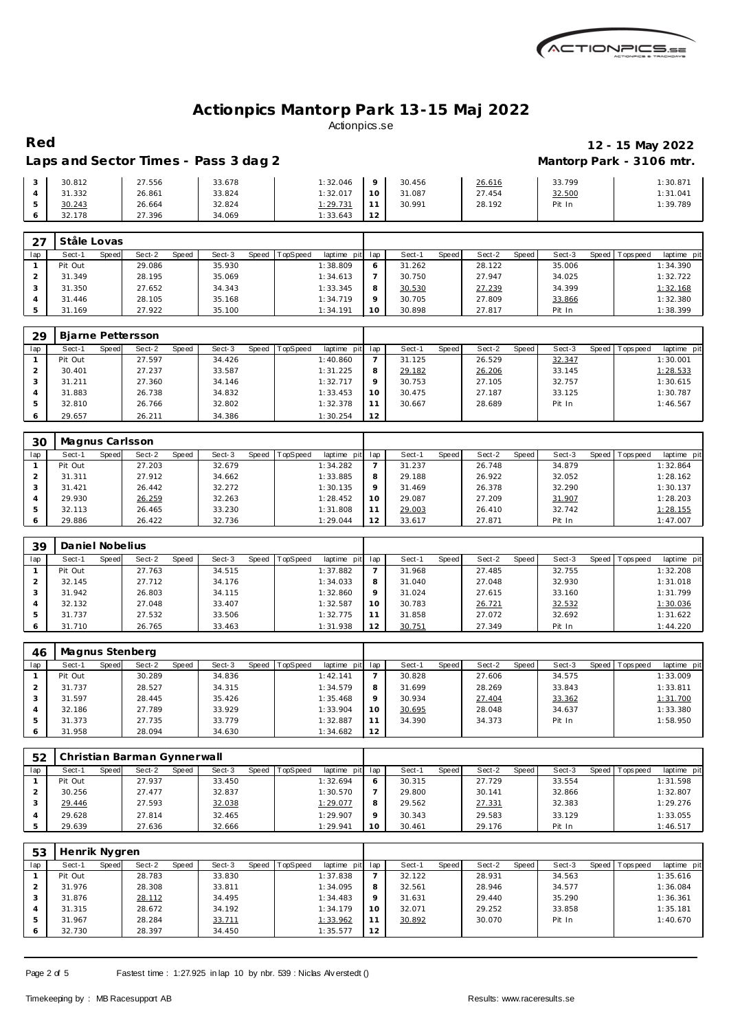

### Laps and Sector Times - Pass 3 dag 2 **Mantorp Park - 3106 mtr.**

# **Red 12 - 15 May 2022**

| 30.812 | 27.556 | 33.678 | 1:32.046 |                 | 30.456 | 26.616 | 33.799 | 1:30.87  |
|--------|--------|--------|----------|-----------------|--------|--------|--------|----------|
| 31.332 | 26.861 | 33.824 | 1:32.017 | 10              | 31.087 | 27.454 | 32.500 | 1:31.041 |
| 30.243 | 26.664 | 32.824 | 1:29.731 |                 | 30.991 | 28.192 | Pit In | 1:39.789 |
| 32.178 | 27.396 | 34.069 | 1:33.643 | $\sqrt{2}$<br>∼ |        |        |        |          |

| $\cap$ | Ståle Lovas     |                 |                 |                         |                 |                 |                        |                   |                          |
|--------|-----------------|-----------------|-----------------|-------------------------|-----------------|-----------------|------------------------|-------------------|--------------------------|
| lap    | Sect-1<br>Speed | Sect-2<br>Speed | Sect-3<br>Speed | TopSpeed<br>laptime pit | lap             | Sect-1<br>Speed | Sect-2<br><b>Speed</b> | Sect-3<br>Speed ' | Tops peed<br>laptime pit |
|        | Pit Out         | 29.086          | 35.930          | 1:38.809                | O               | 31.262          | 28.122                 | 35.006            | 1:34.390                 |
|        | 31.349          | 28.195          | 35.069          | 1:34.613                |                 | 30.750          | 27.947                 | 34.025            | 1:32.722                 |
|        | 31.350          | 27.652          | 34.343          | 1:33.345                | 8               | 30.530          | 27.239                 | 34.399            | 1:32.168                 |
|        | 31.446          | 28.105          | 35.168          | 1:34.719                | $\circ$         | 30.705          | 27.809                 | 33.866            | 1:32.380                 |
|        | 31.169          | 27.922          | 35.100          | 1:34.191                | 10 <sup>°</sup> | 30.898          | 27.817                 | Pit In            | 1:38.399                 |

| 29  | Bjarne Pettersson |       |        |              |        |       |          |             |     |        |       |        |       |        |         |            |             |
|-----|-------------------|-------|--------|--------------|--------|-------|----------|-------------|-----|--------|-------|--------|-------|--------|---------|------------|-------------|
| lap | Sect-1            | Speed | Sect-2 | <b>Speed</b> | Sect-3 | Speed | TopSpeed | laptime pit | lap | Sect-1 | Speed | Sect-2 | Speed | Sect-3 | Speed I | T ops peed | laptime pit |
|     | Pit Out           |       | 27.597 |              | 34.426 |       |          | 1:40.860    |     | 31.125 |       | 26.529 |       | 32.347 |         |            | 1:30.001    |
|     | 30.401            |       | 27.237 |              | 33.587 |       |          | 1:31.225    | 8   | 29.182 |       | 26.206 |       | 33.145 |         |            | 1:28.533    |
|     | 31.211            |       | 27.360 |              | 34.146 |       |          | 1:32.717    |     | 30.753 |       | 27.105 |       | 32.757 |         |            | 1:30.615    |
|     | 31.883            |       | 26.738 |              | 34.832 |       |          | 1:33.453    | 10  | 30.475 |       | 27.187 |       | 33.125 |         |            | 1:30.787    |
|     | 32.810            |       | 26.766 |              | 32.802 |       |          | 1:32.378    | 11  | 30.667 |       | 28.689 |       | Pit In |         |            | 1:46.567    |
|     | 29.657            |       | 26.211 |              | 34.386 |       |          | 1:30.254    | 12  |        |       |        |       |        |         |            |             |

| 30  | Magnus Carlsson |       |        |       |        |                  |             |                 |        |       |        |       |        |       |            |             |
|-----|-----------------|-------|--------|-------|--------|------------------|-------------|-----------------|--------|-------|--------|-------|--------|-------|------------|-------------|
| lap | Sect-1          | Speed | Sect-2 | Speed | Sect-3 | Speed   TopSpeed | laptime pit | lap             | Sect-1 | Speed | Sect-2 | Speed | Sect-3 | Speed | Tops pee d | laptime pit |
|     | Pit Out         |       | 27.203 |       | 32.679 |                  | 1:34.282    |                 | 31.237 |       | 26.748 |       | 34.879 |       |            | 1:32.864    |
|     | 31.311          |       | 27.912 |       | 34.662 |                  | 1:33.885    | 8               | 29.188 |       | 26.922 |       | 32.052 |       |            | 1:28.162    |
|     | 31.421          |       | 26.442 |       | 32.272 |                  | 1:30.135    | $\circ$         | 31.469 |       | 26.378 |       | 32.290 |       |            | 1:30.137    |
|     | 29.930          |       | 26.259 |       | 32.263 |                  | 1:28.452    | 10 <sup>°</sup> | 29.087 |       | 27.209 |       | 31.907 |       |            | 1:28.203    |
|     | 32.113          |       | 26.465 |       | 33.230 |                  | 1:31.808    | 11              | 29.003 |       | 26.410 |       | 32.742 |       |            | 1:28.155    |
|     | 29.886          |       | 26.422 |       | 32.736 |                  | 1:29.044    | 12              | 33.617 |       | 27.871 |       | Pit In |       |            | 1:47.007    |

| 39  | Daniel Nobelius |       |        |       |        |       |          |             |         |        |       |        |       |        |         |            |             |
|-----|-----------------|-------|--------|-------|--------|-------|----------|-------------|---------|--------|-------|--------|-------|--------|---------|------------|-------------|
| lap | Sect-1          | Speed | Sect-2 | Speed | Sect-3 | Speed | TopSpeed | laptime pit | lap     | Sect-  | Speed | Sect-2 | Speed | Sect-3 | Speed I | Tops pee d | laptime pit |
|     | Pit Out         |       | 27.763 |       | 34.515 |       |          | 1:37.882    |         | 31.968 |       | 27.485 |       | 32.755 |         |            | 1:32.208    |
|     | 32.145          |       | 27.712 |       | 34.176 |       |          | 1:34.033    | 8       | 31.040 |       | 27.048 |       | 32.930 |         |            | 1:31.018    |
|     | 31.942          |       | 26.803 |       | 34.115 |       |          | 1:32.860    | $\circ$ | 31.024 |       | 27.615 |       | 33.160 |         |            | 1:31.799    |
|     | 32.132          |       | 27.048 |       | 33.407 |       |          | 1:32.587    | 10      | 30.783 |       | 26.721 |       | 32.532 |         |            | 1:30.036    |
|     | 31.737          |       | 27.532 |       | 33.506 |       |          | 1:32.775    |         | 31.858 |       | 27.072 |       | 32.692 |         |            | 1:31.622    |
|     | 31.710          |       | 26.765 |       | 33.463 |       |          | 1:31.938    | 12      | 30.751 |       | 27.349 |       | Pit In |         |            | 1:44.220    |

| 46  | Magnus Stenberg |       |        |       |        |       |                 |             |          |        |       |        |       |        |                 |             |
|-----|-----------------|-------|--------|-------|--------|-------|-----------------|-------------|----------|--------|-------|--------|-------|--------|-----------------|-------------|
| lap | Sect-1          | Speed | Sect-2 | Speed | Sect-3 | Speed | <b>TopSpeed</b> | laptime pit | lap      | Sect-1 | Speed | Sect-2 | Speed | Sect-3 | Speed Tops peed | laptime pit |
|     | Pit Out         |       | 30.289 |       | 34.836 |       |                 | 1:42.141    |          | 30.828 |       | 27.606 |       | 34.575 |                 | 1:33.009    |
|     | 31.737          |       | 28.527 |       | 34.315 |       |                 | 1:34.579    | 8        | 31.699 |       | 28.269 |       | 33.843 |                 | 1:33.811    |
|     | 31.597          |       | 28.445 |       | 35.426 |       |                 | 1:35.468    | $\Omega$ | 30.934 |       | 27.404 |       | 33.362 |                 | 1:31.700    |
|     | 32.186          |       | 27.789 |       | 33.929 |       |                 | 1:33.904    | 10       | 30.695 |       | 28.048 |       | 34.637 |                 | 1:33.380    |
|     | 31.373          |       | 27.735 |       | 33.779 |       |                 | 1:32.887    |          | 34.390 |       | 34.373 |       | Pit In |                 | 1:58.950    |
|     | 31.958          |       | 28.094 |       | 34.630 |       |                 | 1:34.682    | 12       |        |       |        |       |        |                 |             |

| 52  |                 | Christian Barman Gynnerwall |        |                               |                 |                 |                 |                   |                           |
|-----|-----------------|-----------------------------|--------|-------------------------------|-----------------|-----------------|-----------------|-------------------|---------------------------|
| lap | Sect-1<br>Speed | Sect-2<br>Speed             | Sect-3 | Speed TopSpeed<br>laptime pit | lap             | Speed<br>Sect-1 | Sect-2<br>Speed | Sect-3<br>Speed I | Tops pee d<br>laptime pit |
|     | Pit Out         | 27.937                      | 33.450 | 1:32.694                      | <sup>6</sup>    | 30.315          | 27.729          | 33.554            | 1:31.598                  |
|     | 30.256          | 27.477                      | 32.837 | 1:30.570                      |                 | 29.800          | 30.141          | 32.866            | 1:32.807                  |
|     | 29.446          | 27.593                      | 32.038 | 1:29.077                      | 8               | 29.562          | 27.331          | 32.383            | 1:29.276                  |
|     | 29.628          | 27.814                      | 32.465 | 1:29.907                      | $\Omega$        | 30.343          | 29.583          | 33.129            | 1:33.055                  |
|     | 29.639          | 27.636                      | 32.666 | 1:29.941                      | 10 <sup>1</sup> | 30.461          | 29.176          | Pit In            | 1:46.517                  |

| 53  | Henrik Nygren |       |        |       |        |       |          |             |     |        |       |        |       |        |       |            |             |
|-----|---------------|-------|--------|-------|--------|-------|----------|-------------|-----|--------|-------|--------|-------|--------|-------|------------|-------------|
| lap | Sect-1        | Speed | Sect-2 | Speed | Sect-3 | Speed | TopSpeed | laptime pit | lap | Sect-1 | Speed | Sect-2 | Speed | Sect-3 | Speed | Tops pee d | laptime pit |
|     | Pit Out       |       | 28.783 |       | 33.830 |       |          | 1:37.838    |     | 32.122 |       | 28.931 |       | 34.563 |       |            | 1:35.616    |
|     | 31.976        |       | 28.308 |       | 33.811 |       |          | 1:34.095    | 8   | 32.561 |       | 28.946 |       | 34.577 |       |            | 1:36.084    |
|     | 31.876        |       | 28.112 |       | 34.495 |       |          | 1:34.483    | Q   | 31.631 |       | 29.440 |       | 35.290 |       |            | 1:36.361    |
| 4   | 31.315        |       | 28.672 |       | 34.192 |       |          | 1:34.179    | 10  | 32.071 |       | 29.252 |       | 33.858 |       |            | 1:35.181    |
|     | 31.967        |       | 28.284 |       | 33.711 |       |          | 1:33.962    | 11  | 30.892 |       | 30.070 |       | Pit In |       |            | 1:40.670    |
| 6   | 32.730        |       | 28.397 |       | 34.450 |       |          | 1:35.577    | 12  |        |       |        |       |        |       |            |             |

Page 2 of 5 Fastest time : 1:27.925 in lap 10 by nbr. 539 : Niclas Alv erstedt ()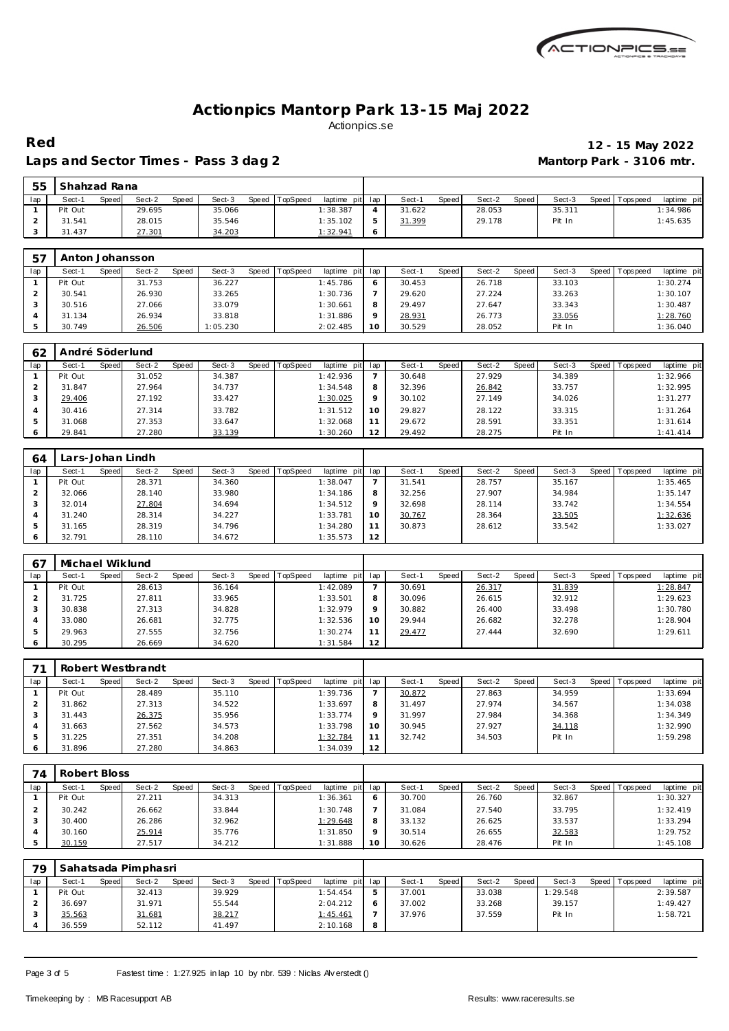

 **Shahzad Rana**

#### Laps and Sector Times - Pass 3 dag 2 **Mantorp Park - 3106 mtr.**

# **Red 12 - 15 May 2022**

| lap            | Sect-1           | Speed        | Sect-2            | Speed | Sect-3   | <b>Speed</b> | TopSpeed | laptime pit | lap            | Sect-1 | Speed | Sect-2 | Speed        | Sect-3 | Speed        | T ops pee d | laptime pit |
|----------------|------------------|--------------|-------------------|-------|----------|--------------|----------|-------------|----------------|--------|-------|--------|--------------|--------|--------------|-------------|-------------|
| $\mathbf{1}$   | Pit Out          |              | 29.695            |       | 35.066   |              |          | 1:38.387    | $\overline{4}$ | 31.622 |       | 28.053 |              | 35.311 |              |             | 1:34.986    |
| 2              | 31.541           |              | 28.015            |       | 35.546   |              |          | 1:35.102    | 5              | 31.399 |       | 29.178 |              | Pit In |              |             | 1:45.635    |
| 3              | 31.437           |              | 27.301            |       | 34.203   |              |          | 1:32.941    | 6              |        |       |        |              |        |              |             |             |
|                |                  |              |                   |       |          |              |          |             |                |        |       |        |              |        |              |             |             |
| 57             | Anton Johansson  |              |                   |       |          |              |          |             |                |        |       |        |              |        |              |             |             |
| lap            | Sect-1           | Speed        | Sect-2            | Speed | Sect-3   | Speed        | TopSpeed | laptime pit | lap            | Sect-1 | Speed | Sect-2 | Speed        | Sect-3 | Speed        | T ops pee d | laptime pit |
| $\mathbf{1}$   | Pit Out          |              | 31.753            |       | 36.227   |              |          | 1:45.786    | 6              | 30.453 |       | 26.718 |              | 33.103 |              |             | 1:30.274    |
| $\overline{2}$ | 30.541           |              | 26.930            |       | 33.265   |              |          | 1:30.736    | $\overline{7}$ | 29.620 |       | 27.224 |              | 33.263 |              |             | 1:30.107    |
| 3              | 30.516           |              | 27.066            |       | 33.079   |              |          | 1:30.661    | 8              | 29.497 |       | 27.647 |              | 33.343 |              |             | 1:30.487    |
| $\overline{4}$ | 31.134           |              | 26.934            |       | 33.818   |              |          | 1:31.886    | $\circ$        | 28.931 |       | 26.773 |              | 33.056 |              |             | 1:28.760    |
| 5              | 30.749           |              | 26.506            |       | 1:05.230 |              |          | 2:02.485    | 10             | 30.529 |       | 28.052 |              | Pit In |              |             | 1:36.040    |
|                |                  |              |                   |       |          |              |          |             |                |        |       |        |              |        |              |             |             |
| 62             | André Söderlund  |              |                   |       |          |              |          |             |                |        |       |        |              |        |              |             |             |
| lap            | Sect-1           | Speed        | Sect-2            | Speed | Sect-3   | <b>Speed</b> | TopSpeed | laptime pit | lap            | Sect-1 | Speed | Sect-2 | Speed        | Sect-3 | Speed        | Tops peed   | laptime pit |
| $\mathbf{1}$   | Pit Out          |              | 31.052            |       | 34.387   |              |          | 1:42.936    | $\overline{7}$ | 30.648 |       | 27.929 |              | 34.389 |              |             | 1:32.966    |
| $\overline{2}$ | 31.847           |              | 27.964            |       | 34.737   |              |          | 1:34.548    | 8              | 32.396 |       | 26.842 |              | 33.757 |              |             | 1:32.995    |
| 3              | 29.406           |              | 27.192            |       | 33.427   |              |          | 1:30.025    | 9              | 30.102 |       | 27.149 |              | 34.026 |              |             | 1:31.277    |
| $\overline{4}$ | 30.416           |              | 27.314            |       | 33.782   |              |          | 1:31.512    | 10             | 29.827 |       | 28.122 |              | 33.315 |              |             | 1:31.264    |
| 5              | 31.068           |              | 27.353            |       | 33.647   |              |          | 1:32.068    | 11             | 29.672 |       | 28.591 |              | 33.351 |              |             | 1:31.614    |
| 6              | 29.841           |              | 27.280            |       | 33.139   |              |          | 1:30.260    | 12             | 29.492 |       | 28.275 |              | Pit In |              |             | 1: 41.414   |
|                |                  |              |                   |       |          |              |          |             |                |        |       |        |              |        |              |             |             |
| 64             | Lars-Johan Lindh |              |                   |       |          |              |          |             |                |        |       |        |              |        |              |             |             |
| lap            | Sect-1           | Speed        | Sect-2            | Speed | Sect-3   | <b>Speed</b> | TopSpeed | laptime pit | lap            | Sect-1 | Speed | Sect-2 | Speed        | Sect-3 | Speed        | T ops pee d | laptime pit |
| $\mathbf{1}$   | Pit Out          |              | 28.371            |       | 34.360   |              |          | 1:38.047    | $\overline{7}$ | 31.541 |       | 28.757 |              | 35.167 |              |             | 1:35.465    |
| $\overline{2}$ | 32.066           |              | 28.140            |       | 33.980   |              |          | 1:34.186    | 8              | 32.256 |       | 27.907 |              | 34.984 |              |             | 1:35.147    |
| 3              | 32.014           |              | 27.804            |       | 34.694   |              |          | 1:34.512    | 9              | 32.698 |       | 28.114 |              | 33.742 |              |             | 1:34.554    |
| $\overline{4}$ | 31.240           |              | 28.314            |       | 34.227   |              |          | 1:33.781    | 10             | 30.767 |       | 28.364 |              | 33.505 |              |             | 1:32.636    |
| 5              | 31.165           |              | 28.319            |       | 34.796   |              |          | 1:34.280    | 11             | 30.873 |       | 28.612 |              | 33.542 |              |             | 1:33.027    |
| 6              | 32.791           |              | 28.110            |       | 34.672   |              |          | 1:35.573    | 12             |        |       |        |              |        |              |             |             |
|                |                  |              |                   |       |          |              |          |             |                |        |       |        |              |        |              |             |             |
| 67             | Michael Wiklund  |              |                   |       |          |              |          |             |                |        |       |        |              |        |              |             |             |
| lap            | Sect-1           | <b>Speed</b> | Sect-2            | Speed | Sect-3   | <b>Speed</b> | TopSpeed | laptime pit | lap            | Sect-1 | Speed | Sect-2 | <b>Speed</b> | Sect-3 | <b>Speed</b> | Tops pee d  | laptime pit |
| $\mathbf{1}$   | Pit Out          |              | 28.613            |       | 36.164   |              |          | 1:42.089    | $\overline{7}$ | 30.691 |       | 26.317 |              | 31.839 |              |             | 1:28.847    |
| $\overline{2}$ | 31.725           |              | 27.811            |       | 33.965   |              |          | 1:33.501    | 8              | 30.096 |       | 26.615 |              | 32.912 |              |             | 1:29.623    |
| 3              | 30.838           |              | 27.313            |       | 34.828   |              |          | 1:32.979    | $\circ$        | 30.882 |       | 26.400 |              | 33.498 |              |             | 1:30.780    |
| $\overline{4}$ | 33.080           |              | 26.681            |       | 32.775   |              |          | 1:32.536    | 10             | 29.944 |       | 26.682 |              | 32.278 |              |             | 1:28.904    |
| 5              | 29.963           |              | 27.555            |       | 32.756   |              |          | 1:30.274    | 11             | 29.477 |       | 27.444 |              | 32.690 |              |             | 1:29.611    |
| 6              | 30.295           |              | 26.669            |       | 34.620   |              |          | 1:31.584    | 12             |        |       |        |              |        |              |             |             |
|                |                  |              |                   |       |          |              |          |             |                |        |       |        |              |        |              |             |             |
| 71             |                  |              | Robert Westbrandt |       |          |              |          |             |                |        |       |        |              |        |              |             |             |
| lap            | Sect-1           | Speed        | Sect-2            | Speed | Sect-3   | <b>Speed</b> | TopSpeed | laptime pit | lap            | Sect-1 | Speed | Sect-2 | <b>Speed</b> | Sect-3 | Speed        | T ops pee d | laptime pit |
| $\mathbf{1}$   | Pit Out          |              | 28.489            |       | 35.110   |              |          | 1:39.736    | $\overline{7}$ | 30.872 |       | 27.863 |              | 34.959 |              |             | 1:33.694    |
| 2              | 31.862           |              | 27.313            |       | 34.522   |              |          | 1:33.697    | 8              | 31.497 |       | 27.974 |              | 34.567 |              |             | 1:34.038    |
| 3              | 31.443           |              | 26.375            |       | 35.956   |              |          | 1:33.774    | 9              | 31.997 |       | 27.984 |              | 34.368 |              |             | 1:34.349    |
| 4              | 31.663           |              | 27.562            |       | 34.573   |              |          | 1:33.798    | 10             | 30.945 |       | 27.927 |              | 34.118 |              |             | 1:32.990    |
| 5              | 31.225           |              | 27.351            |       | 34.208   |              |          | 1:32.784    | 11             | 32.742 |       | 34.503 |              | Pit In |              |             | 1:59.298    |

| 74  | Robert Bloss |       |        |       |        |       |                 |             |         |        |       |        |       |        |       |          |             |
|-----|--------------|-------|--------|-------|--------|-------|-----------------|-------------|---------|--------|-------|--------|-------|--------|-------|----------|-------------|
| lap | Sect-1       | Speed | Sect-2 | Speed | Sect-3 | Speed | <b>TopSpeed</b> | laptime pit | lap     | Sect-1 | Speed | Sect-2 | Speed | Sect-3 | Speed | Topspeed | laptime pit |
|     | Pit Out      |       | 27.211 |       | 34.313 |       |                 | 1:36.361    | $\circ$ | 30.700 |       | 26.760 |       | 32.867 |       |          | 1:30.327    |
|     | 30.242       |       | 26.662 |       | 33.844 |       |                 | 1:30.748    |         | 31.084 |       | 27.540 |       | 33.795 |       |          | 1:32.419    |
|     | 30.400       |       | 26.286 |       | 32.962 |       |                 | 1:29.648    | 8       | 33.132 |       | 26.625 |       | 33.537 |       |          | 1:33.294    |
|     | 30.160       |       | 25.914 |       | 35.776 |       |                 | 1:31.850    | $\circ$ | 30.514 |       | 26.655 |       | 32.583 |       |          | 1:29.752    |
|     | 30.159       |       | 27.517 |       | 34.212 |       |                 | 1:31.888    | 10      | 30.626 |       | 28.476 |       | Pit In |       |          | 1:45.108    |

| 79  |         |       | Sahatsada Pimphasri |       |        |       |          |                 |   |        |              |        |       |          |                   |             |
|-----|---------|-------|---------------------|-------|--------|-------|----------|-----------------|---|--------|--------------|--------|-------|----------|-------------------|-------------|
| lap | Sect-1  | Speed | Sect-2              | Speed | Sect-3 | Speed | TopSpeed | laptime pit lap |   | Sect-1 | <b>Speed</b> | Sect-2 | Speed | Sect-3   | Speed   Tops peed | laptime pit |
|     | Pit Out |       | 32.413              |       | 39.929 |       |          | 1:54.454        |   | 37.001 |              | 33.038 |       | 1:29.548 |                   | 2:39.587    |
|     | 36.697  |       | 31.971              |       | 55.544 |       |          | 2:04.212        |   | 37.002 |              | 33.268 |       | 39.157   |                   | 1:49.427    |
|     | 35.563  |       | 31.681              |       | 38.217 |       |          | 1:45.461        |   | 37.976 |              | 37.559 |       | Pit In   |                   | 1:58.721    |
|     | 36.559  |       | 52.112              |       | 41.497 |       |          | 2:10.168        | 8 |        |              |        |       |          |                   |             |

Page 3 of 5 Fastest time : 1:27.925 in lap 10 by nbr. 539 : Niclas Alv erstedt ()

 31.225 27.351 34.208 1:32.784 31.896 27.280 34.863 1:34.039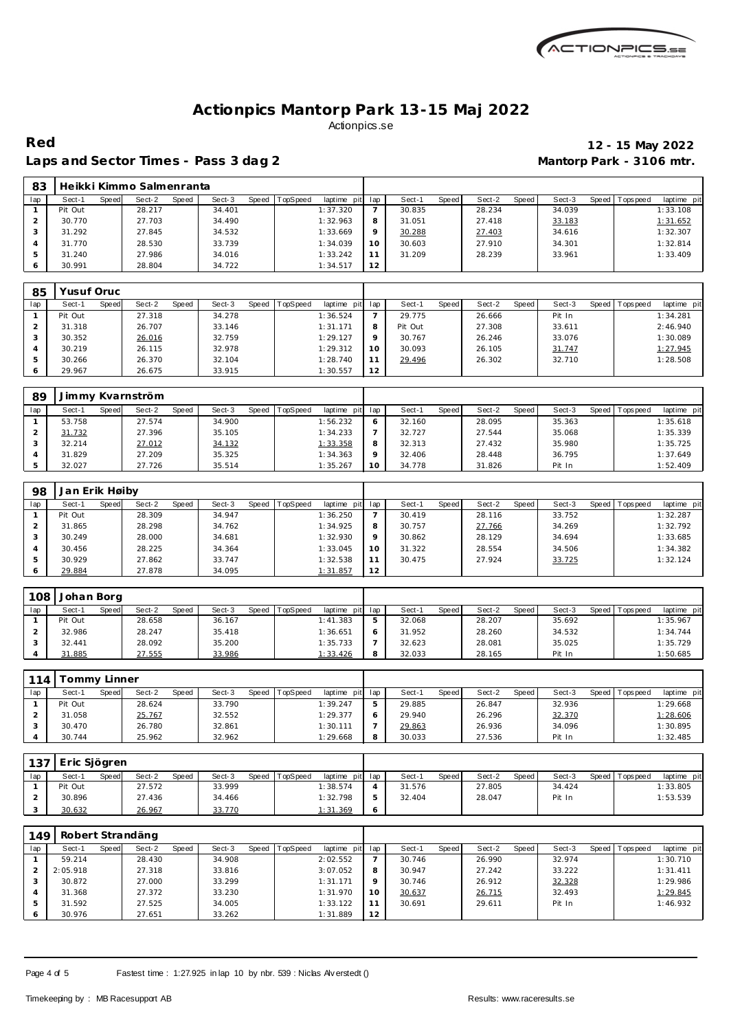

Laps and Sector Times - Pass 3 dag 2 **Mantorp Park - 3106 mtr.** 

# **Red 12 - 15 May 2022**

|  |                             | Laps and Scener Times - Lass 5 day 2 |  |
|--|-----------------------------|--------------------------------------|--|
|  | 83 Heikki Kimmo Salmenranta |                                      |  |

| റാ  |         |       | <u>TIGINNI INITITITU JAIHTIGI LAHLA</u> |       |        |       |          |             |         |        |       |        |       |        |       |           |             |
|-----|---------|-------|-----------------------------------------|-------|--------|-------|----------|-------------|---------|--------|-------|--------|-------|--------|-------|-----------|-------------|
| lap | Sect-1  | Speed | Sect-2                                  | Speed | Sect-3 | Speed | TopSpeed | laptime pit | lap     | Sect-1 | Speed | Sect-2 | Speed | Sect-3 | Speed | Tops peed | laptime pit |
|     | Pit Out |       | 28.217                                  |       | 34.401 |       |          | 1:37.320    |         | 30.835 |       | 28.234 |       | 34.039 |       |           | 1:33.108    |
|     | 30.770  |       | 27.703                                  |       | 34.490 |       |          | 1:32.963    | 8       | 31.051 |       | 27.418 |       | 33.183 |       |           | 1:31.652    |
|     | 31.292  |       | 27.845                                  |       | 34.532 |       |          | 1:33.669    | $\circ$ | 30.288 |       | 27.403 |       | 34.616 |       |           | 1:32.307    |
|     | 31.770  |       | 28.530                                  |       | 33.739 |       |          | 1:34.039    | 10      | 30.603 |       | 27.910 |       | 34.301 |       |           | 1:32.814    |
|     | 31.240  |       | 27.986                                  |       | 34.016 |       |          | 1:33.242    |         | 31.209 |       | 28.239 |       | 33.961 |       |           | 1:33.409    |
|     | 30.991  |       | 28.804                                  |       | 34.722 |       |          | 1:34.517    | 12      |        |       |        |       |        |       |           |             |

| 85  |         | 'usuf Oruc |        |       |        |       |          |             |                 |         |       |        |       |        |       |           |             |
|-----|---------|------------|--------|-------|--------|-------|----------|-------------|-----------------|---------|-------|--------|-------|--------|-------|-----------|-------------|
| lap | Sect-1  | Speed      | Sect-2 | Speed | Sect-3 | Speed | TopSpeed | laptime pit | lap             | Sect-1  | Speed | Sect-2 | Speed | Sect-3 | Speed | Tops peed | laptime pit |
|     | Pit Out |            | 27.318 |       | 34.278 |       |          | 1:36.524    |                 | 29.775  |       | 26.666 |       | Pit In |       |           | 1:34.281    |
|     | 31.318  |            | 26.707 |       | 33.146 |       |          | 1:31.171    | 8               | Pit Out |       | 27.308 |       | 33.611 |       |           | 2:46.940    |
|     | 30.352  |            | 26.016 |       | 32.759 |       |          | 1:29.127    | $\circ$         | 30.767  |       | 26.246 |       | 33.076 |       |           | 1:30.089    |
|     | 30.219  |            | 26.115 |       | 32.978 |       |          | 1:29.312    | 10 <sup>°</sup> | 30.093  |       | 26.105 |       | 31.747 |       |           | 1:27.945    |
|     | 30.266  |            | 26.370 |       | 32.104 |       |          | 1:28.740    |                 | 29.496  |       | 26.302 |       | 32.710 |       |           | 1:28.508    |
| O   | 29.967  |            | 26.675 |       | 33.915 |       |          | 1:30.557    | 12              |         |       |        |       |        |       |           |             |

| 89  | Jimmy Kvarnström |                        |                 |                                    |                 |                 |                 |                           |
|-----|------------------|------------------------|-----------------|------------------------------------|-----------------|-----------------|-----------------|---------------------------|
| lap | Sect-1<br>Speed  | Sect-2<br><b>Speed</b> | Sect-3<br>Speed | <b>TopSpeed</b><br>laptime pit lap | Sect-1<br>Speed | Speed<br>Sect-2 | Sect-3<br>Speed | laptime pit<br>Tops pee d |
|     | 53.758           | 27.574                 | 34.900          | 1:56.232                           | 32.160          | 28.095          | 35.363          | 1:35.618                  |
|     | 31.732           | 27.396                 | 35.105          | 1:34.233                           | 32.727          | 27.544          | 35.068          | 1:35.339                  |
|     | 32.214           | 27.012                 | 34.132          | <u>1:33.358</u>                    | 32.313          | 27.432          | 35.980          | 1:35.725                  |
|     | 31.829           | 27.209                 | 35.325          | 1:34.363                           | 32.406          | 28.448          | 36.795          | 1:37.649                  |
|     | 32.027           | 27.726                 | 35.514          | 1:35.267                           | 34.778          | 31.826          | Pit In          | 1:52.409                  |

| 98  | Jan Erik Høiby |       |        |       |        |       |                 |             |         |        |       |        |       |        |       |           |             |
|-----|----------------|-------|--------|-------|--------|-------|-----------------|-------------|---------|--------|-------|--------|-------|--------|-------|-----------|-------------|
| lap | Sect-1         | Speed | Sect-2 | Speed | Sect-3 | Speed | <b>TopSpeed</b> | laptime pit | lap     | Sect-1 | Speed | Sect-2 | Speed | Sect-3 | Speed | Tops peed | laptime pit |
|     | Pit Out        |       | 28.309 |       | 34.947 |       |                 | 1:36.250    |         | 30.419 |       | 28.116 |       | 33.752 |       |           | 1:32.287    |
|     | 31.865         |       | 28.298 |       | 34.762 |       |                 | 1:34.925    | 8       | 30.757 |       | 27.766 |       | 34.269 |       |           | 1:32.792    |
|     | 30.249         |       | 28,000 |       | 34.681 |       |                 | 1:32.930    | $\circ$ | 30.862 |       | 28.129 |       | 34.694 |       |           | 1:33.685    |
|     | 30.456         |       | 28.225 |       | 34.364 |       |                 | 1:33.045    | 10      | 31.322 |       | 28.554 |       | 34.506 |       |           | 1:34.382    |
|     | 30.929         |       | 27.862 |       | 33.747 |       |                 | 1:32.538    | 11      | 30.475 |       | 27.924 |       | 33.725 |       |           | 1:32.124    |
|     | 29.884         |       | 27.878 |       | 34.095 |       |                 | 1:31.857    | 12      |        |       |        |       |        |       |           |             |

| 108 | Johan Borg |       |        |       |        |       |                 |             |       |        |       |        |       |        |       |            |             |
|-----|------------|-------|--------|-------|--------|-------|-----------------|-------------|-------|--------|-------|--------|-------|--------|-------|------------|-------------|
| lap | Sect-1     | Speed | Sect-2 | Speed | Sect-3 | Speed | <b>TopSpeed</b> | laptime pit | . lan | Sect-1 | Speed | Sect-2 | Speed | Sect-3 | Speed | Tops pee d | laptime pit |
|     | Pit Out    |       | 28.658 |       | 36.167 |       |                 | 1:41.383    |       | 32.068 |       | 28.207 |       | 35.692 |       |            | 1:35.967    |
|     | 32.986     |       | 28.247 |       | 35.418 |       |                 | 1:36.651    |       | 31.952 |       | 28.260 |       | 34.532 |       |            | 1:34.744    |
|     | 32.441     |       | 28.092 |       | 35.200 |       |                 | 1:35.733    |       | 32.623 |       | 28.081 |       | 35.025 |       |            | 1:35.729    |
|     | 31.885     |       | 27.555 |       | 33.986 |       |                 | 1:33.426    |       | 32.033 |       | 28.165 |       | Pit In |       |            | 1:50.685    |

| 114 |         | Fommy Linner |        |              |        |       |          |                 |        |              |        |       |        |                 |             |
|-----|---------|--------------|--------|--------------|--------|-------|----------|-----------------|--------|--------------|--------|-------|--------|-----------------|-------------|
| lap | Sect-1  | Speed        | Sect-2 | <b>Speed</b> | Sect-3 | Speed | TopSpeed | laptime pit lap | Sect-1 | <b>Speed</b> | Sect-2 | Speed | Sect-3 | Speed Tops peed | laptime pit |
|     | Pit Out |              | 28.624 |              | 33.790 |       |          | 1:39.247        | 29.885 |              | 26.847 |       | 32.936 |                 | 1:29.668    |
|     | 31.058  |              | 25.767 |              | 32.552 |       |          | 1:29.377        | 29.940 |              | 26.296 |       | 32.370 |                 | 1:28.606    |
|     | 30.470  |              | 26.780 |              | 32.861 |       |          | 1:30.111        | 29.863 |              | 26.936 |       | 34.096 |                 | 1:30.895    |
|     | 30.744  |              | 25.962 |              | 32.962 |       |          | 1:29.668        | 30.033 |              | 27.536 |       | Pit In |                 | 1:32.485    |

| 137 | Eric Sjögren |       |        |       |        |       |          |                 |        |       |        |       |        |         |            |             |
|-----|--------------|-------|--------|-------|--------|-------|----------|-----------------|--------|-------|--------|-------|--------|---------|------------|-------------|
| lap | Sect-1       | Speed | Sect-2 | Speed | Sect-3 | Speed | TopSpeed | laptime pit lap | Sect-1 | Speed | Sect-2 | Speed | Sect-3 | Speed I | Tops pee d | laptime pit |
|     | Pit Out      |       | 27.572 |       | 33.999 |       |          | 1:38.574        | 31.576 |       | 27.805 |       | 34.424 |         |            | 1:33.805    |
|     | 30.896       |       | 27.436 |       | 34.466 |       |          | 1:32.798        | 32.404 |       | 28.047 |       | Pit In |         |            | 1:53.539    |
|     | 30.632       |       | 26.967 |       | 33.770 |       |          | 1:31.369        |        |       |        |       |        |         |            |             |

| 149 |          |       | Robert Strandäng |       |        |       |                 |             |         |        |       |        |       |        |                  |             |
|-----|----------|-------|------------------|-------|--------|-------|-----------------|-------------|---------|--------|-------|--------|-------|--------|------------------|-------------|
| lap | Sect-1   | Speed | Sect-2           | Speed | Sect-3 | Speed | <b>TopSpeed</b> | laptime pit | lap     | Sect-1 | Speed | Sect-2 | Speed | Sect-3 | Speed   Topspeed | laptime pit |
|     | 59.214   |       | 28.430           |       | 34.908 |       |                 | 2:02.552    |         | 30.746 |       | 26.990 |       | 32.974 |                  | 1:30.710    |
|     | 2:05.918 |       | 27.318           |       | 33.816 |       |                 | 3:07.052    | 8       | 30.947 |       | 27.242 |       | 33.222 |                  | 1:31.411    |
|     | 30.872   |       | 27.000           |       | 33.299 |       |                 | 1:31.171    | $\circ$ | 30.746 |       | 26.912 |       | 32.328 |                  | 1:29.986    |
| 4   | 31.368   |       | 27.372           |       | 33.230 |       |                 | 1:31.970    | 10      | 30.637 |       | 26.715 |       | 32.493 |                  | 1:29.845    |
|     | 31.592   |       | 27.525           |       | 34.005 |       |                 | 1:33.122    | 11      | 30.691 |       | 29.611 |       | Pit In |                  | 1:46.932    |
|     | 30.976   |       | 27.651           |       | 33.262 |       |                 | 1:31.889    | 12      |        |       |        |       |        |                  |             |